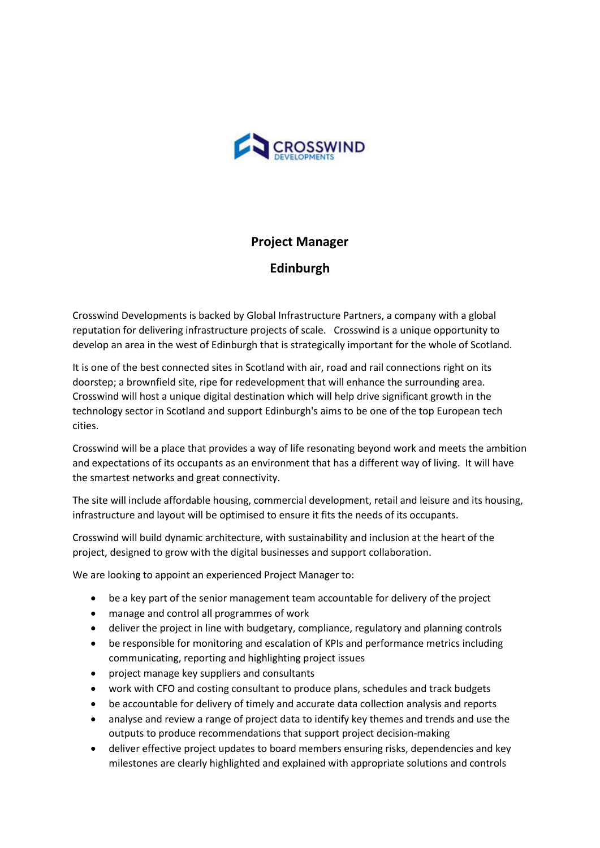

## **Project Manager**

**Edinburgh**

Crosswind Developments is backed by Global Infrastructure Partners, a company with a global reputation for delivering infrastructure projects of scale. Crosswind is a unique opportunity to develop an area in the west of Edinburgh that is strategically important for the whole of Scotland.

It is one of the best connected sites in Scotland with air, road and rail connections right on its doorstep; a brownfield site, ripe for redevelopment that will enhance the surrounding area. Crosswind will host a unique digital destination which will help drive significant growth in the technology sector in Scotland and support Edinburgh's aims to be one of the top European tech cities.

Crosswind will be a place that provides a way of life resonating beyond work and meets the ambition and expectations of its occupants as an environment that has a different way of living. It will have the smartest networks and great connectivity.

The site will include affordable housing, commercial development, retail and leisure and its housing, infrastructure and layout will be optimised to ensure it fits the needs of its occupants.

Crosswind will build dynamic architecture, with sustainability and inclusion at the heart of the project, designed to grow with the digital businesses and support collaboration.

We are looking to appoint an experienced Project Manager to:

- be a key part of the senior management team accountable for delivery of the project
- manage and control all programmes of work
- deliver the project in line with budgetary, compliance, regulatory and planning controls
- be responsible for monitoring and escalation of KPIs and performance metrics including communicating, reporting and highlighting project issues
- project manage key suppliers and consultants
- work with CFO and costing consultant to produce plans, schedules and track budgets
- be accountable for delivery of timely and accurate data collection analysis and reports
- analyse and review a range of project data to identify key themes and trends and use the outputs to produce recommendations that support project decision-making
- deliver effective project updates to board members ensuring risks, dependencies and key milestones are clearly highlighted and explained with appropriate solutions and controls